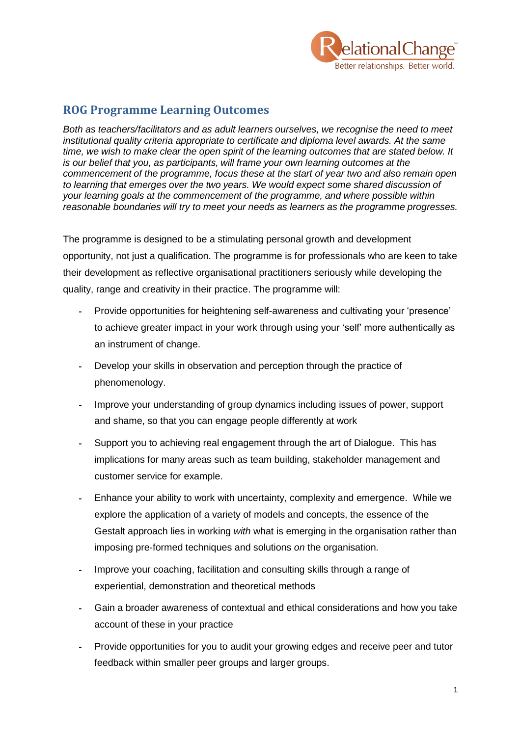

## **ROG Programme Learning Outcomes**

*Both as teachers/facilitators and as adult learners ourselves, we recognise the need to meet institutional quality criteria appropriate to certificate and diploma level awards. At the same time, we wish to make clear the open spirit of the learning outcomes that are stated below. It is our belief that you, as participants, will frame your own learning outcomes at the commencement of the programme, focus these at the start of year two and also remain open to learning that emerges over the two years. We would expect some shared discussion of your learning goals at the commencement of the programme, and where possible within reasonable boundaries will try to meet your needs as learners as the programme progresses.*

The programme is designed to be a stimulating personal growth and development opportunity, not just a qualification. The programme is for professionals who are keen to take their development as reflective organisational practitioners seriously while developing the quality, range and creativity in their practice. The programme will:

- Provide opportunities for heightening self-awareness and cultivating your 'presence' to achieve greater impact in your work through using your 'self' more authentically as an instrument of change.
- Develop your skills in observation and perception through the practice of phenomenology.
- Improve your understanding of group dynamics including issues of power, support and shame, so that you can engage people differently at work
- Support you to achieving real engagement through the art of Dialogue. This has implications for many areas such as team building, stakeholder management and customer service for example.
- Enhance your ability to work with uncertainty, complexity and emergence. While we explore the application of a variety of models and concepts, the essence of the Gestalt approach lies in working *with* what is emerging in the organisation rather than imposing pre-formed techniques and solutions *on* the organisation.
- Improve your coaching, facilitation and consulting skills through a range of experiential, demonstration and theoretical methods
- Gain a broader awareness of contextual and ethical considerations and how you take account of these in your practice
- Provide opportunities for you to audit your growing edges and receive peer and tutor feedback within smaller peer groups and larger groups.